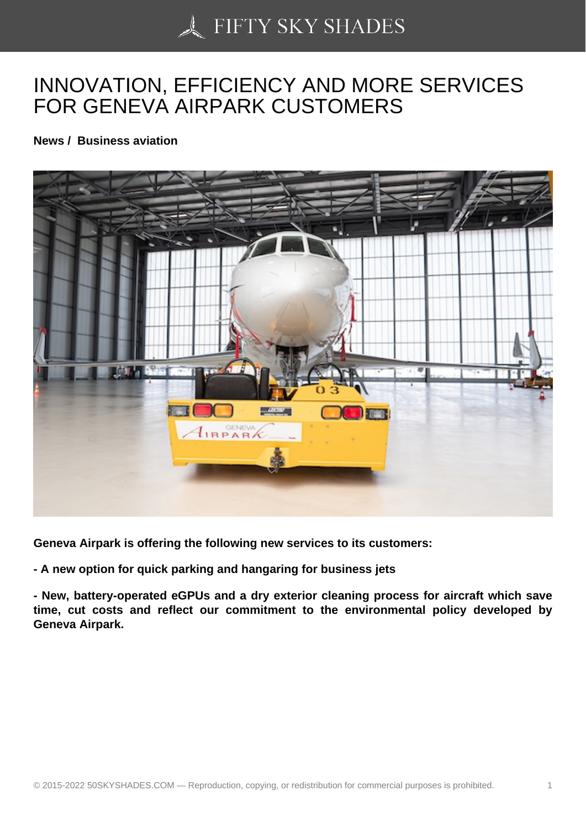## [INNOVATION, EFFICIE](https://50skyshades.com)NCY AND MORE SERVICES FOR GENEVA AIRPARK CUSTOMERS

News / Business aviation

Geneva Airpark is offering the following new services to its customers:

- A new option for quick parking and hangaring for business jets

- New, battery-operated eGPUs and a dry exterior cleaning process for aircraft which save time, cut costs and reflect our commitment to the environmental policy developed by Geneva Airpark.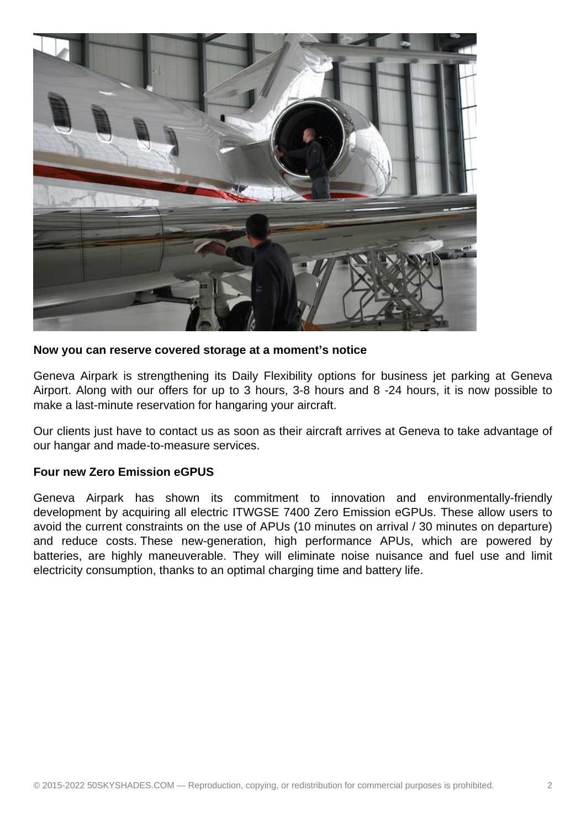

**Now you can reserve covered storage at a moment's notice**

Geneva Airpark is strengthening its Daily Flexibility options for business jet parking at Geneva Airport. Along with our offers for up to 3 hours, 3-8 hours and 8 -24 hours, it is now possible to make a last-minute reservation for hangaring your aircraft.

Our clients just have to contact us as soon as their aircraft arrives at Geneva to take advantage of our hangar and made-to-measure services.

## **Four new Zero Emission eGPUS**

Geneva Airpark has shown its commitment to innovation and environmentally-friendly development by acquiring all electric ITWGSE 7400 Zero Emission eGPUs. These allow users to avoid the current constraints on the use of APUs (10 minutes on arrival / 30 minutes on departure) and reduce costs. These new-generation, high performance APUs, which are powered by batteries, are highly maneuverable. They will eliminate noise nuisance and fuel use and limit electricity consumption, thanks to an optimal charging time and battery life.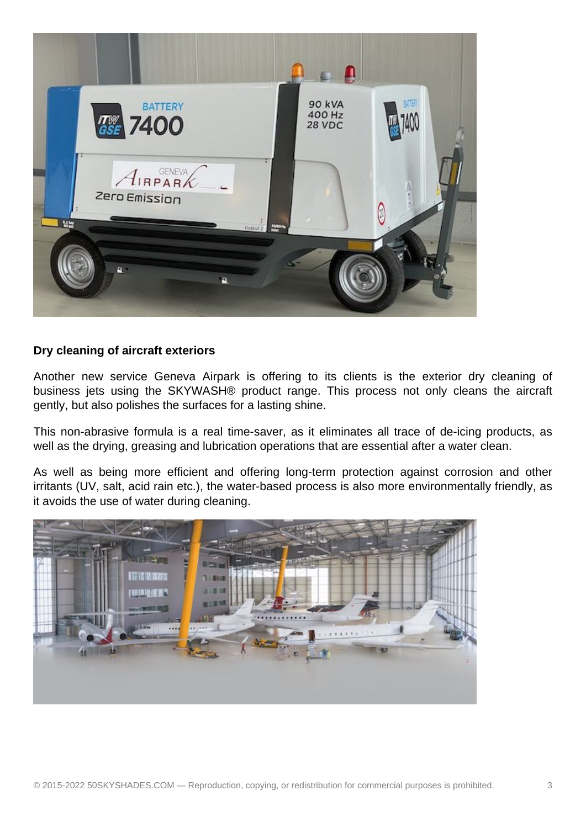

## **Dry cleaning of aircraft exteriors**

Another new service Geneva Airpark is offering to its clients is the exterior dry cleaning of business jets using the SKYWASH® product range. This process not only cleans the aircraft gently, but also polishes the surfaces for a lasting shine.

This non-abrasive formula is a real time-saver, as it eliminates all trace of de-icing products, as well as the drying, greasing and lubrication operations that are essential after a water clean.

As well as being more efficient and offering long-term protection against corrosion and other irritants (UV, salt, acid rain etc.), the water-based process is also more environmentally friendly, as it avoids the use of water during cleaning.